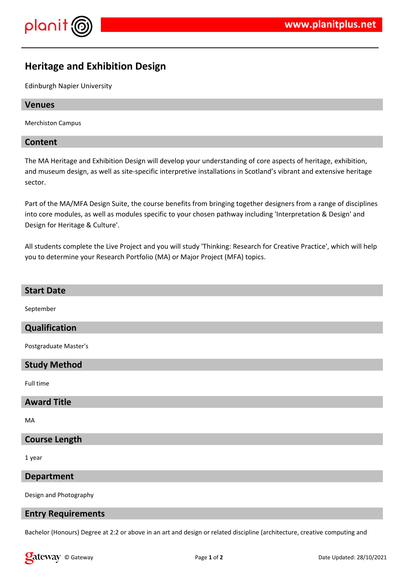

# **Heritage and Exhibition Design**

Edinburgh Napier University

# **Venues**

Merchiston Campus

# **Content**

The MA Heritage and Exhibition Design will develop your understanding of core aspects of heritage, exhibition, and museum design, as well as site-specific interpretive installations in Scotland's vibrant and extensive heritage sector.

Part of the MA/MFA Design Suite, the course benefits from bringing together designers from a range of disciplines into core modules, as well as modules specific to your chosen pathway including 'Interpretation & Design' and Design for Heritage & Culture'.

All students complete the Live Project and you will study 'Thinking: Research for Creative Practice', which will help you to determine your Research Portfolio (MA) or Major Project (MFA) topics.

# **Start Date** September **Qualification** Postgraduate Master's **Study Method** Full time **Award Title** MA **Course Length**

1 year

# **Department**

Design and Photography

#### **Entry Requirements**

Bachelor (Honours) Degree at 2:2 or above in an art and design or related discipline (architecture, creative computing and